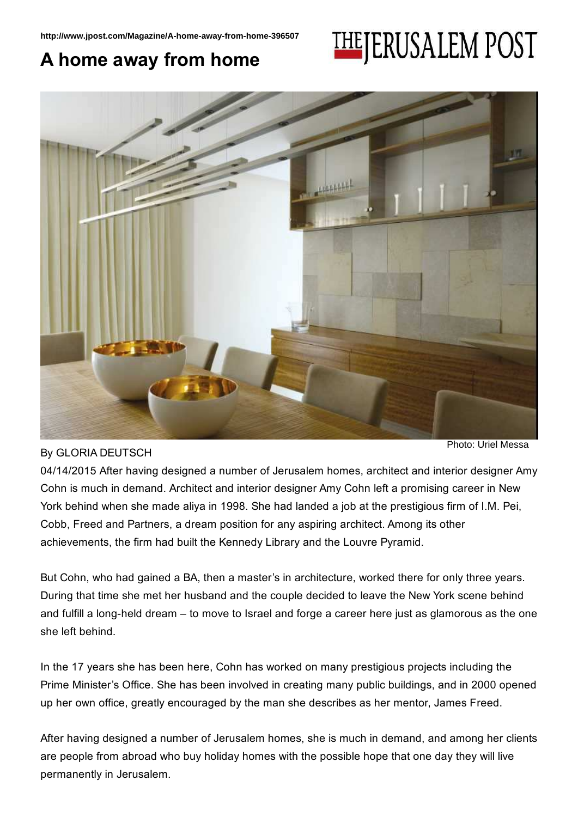## **THEJERUSALEM POST** A home away from home



By GLORIA DEUTSCH

Photo: Uriel Messa

04/14/2015 After having designed a number of Jerusalem homes, architect and interior designer Amy Cohn is much in demand. Architect and interior designer Amy Cohn left a promising career in New York behind when she made aliya in 1998. She had landed a job at the prestigious firm of I.M. Pei, Cobb, Freed and Partners, a dream position for any aspiring architect. Among its other achievements, the firm had built the Kennedy Library and the Louvre Pyramid.

But Cohn, who had gained a BA, then a master's in architecture, worked there for only three years. During that time she met her husband and the couple decided to leave the New York scene behind and fulfill a long-held dream – to move to Israel and forge a career here just as glamorous as the one she left behind.

In the 17 years she has been here, Cohn has worked on many prestigious projects including the Prime Minister's Office. She has been involved in creating many public buildings, and in 2000 opened up her own office, greatly encouraged by the man she describes as her mentor, James Freed.

After having designed a number of Jerusalem homes, she is much in demand, and among her clients are people from abroad who buy holiday homes with the possible hope that one day they will live permanently in Jerusalem.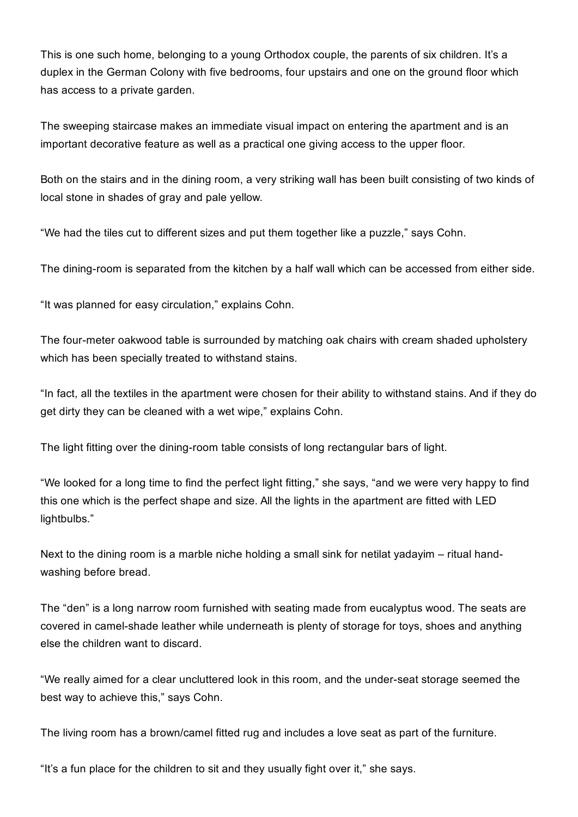This is one such home, belonging to a young Orthodox couple, the parents of six children. It's a duplex in the German Colony with five bedrooms, four upstairs and one on the ground floor which has access to a private garden.

The sweeping staircase makes an immediate visual impact on entering the apartment and is an important decorative feature as well as a practical one giving access to the upper floor.

Both on the stairs and in the dining room, a very striking wall has been built consisting of two kinds of local stone in shades of gray and pale yellow.

"We had the tiles cut to different sizes and put them together like a puzzle," says Cohn.

The dining-room is separated from the kitchen by a half wall which can be accessed from either side.

"It was planned for easy circulation," explains Cohn.

The four-meter oakwood table is surrounded by matching oak chairs with cream shaded upholstery which has been specially treated to withstand stains.

"In fact, all the textiles in the apartment were chosen for their ability to withstand stains. And if they do get dirty they can be cleaned with a wet wipe," explains Cohn.

The light fitting over the dining-room table consists of long rectangular bars of light.

"We looked for a long time to find the perfect light fitting," she says, "and we were very happy to find this one which is the perfect shape and size. All the lights in the apartment are fitted with LED lightbulbs."

Next to the dining room is a marble niche holding a small sink for netilat yadayim – ritual handwashing before bread.

The "den" is a long narrow room furnished with seating made from eucalyptus wood. The seats are covered in camel-shade leather while underneath is plenty of storage for toys, shoes and anything else the children want to discard.

"We really aimed for a clear uncluttered look in this room, and the under-seat storage seemed the best way to achieve this," says Cohn.

The living room has a brown/camel fitted rug and includes a love seat as part of the furniture.

"It's a fun place for the children to sit and they usually fight over it," she says.